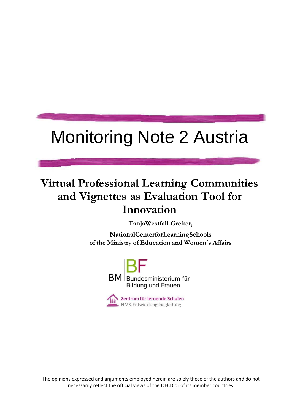# Monitoring Note 2 Austria

# **Virtual Professional Learning Communities and Vignettes as Evaluation Tool for Innovation**

**TanjaWestfall-Greiter,**

**NationalCenterforLearningSchools of the Ministry of Education and Women's Affairs**



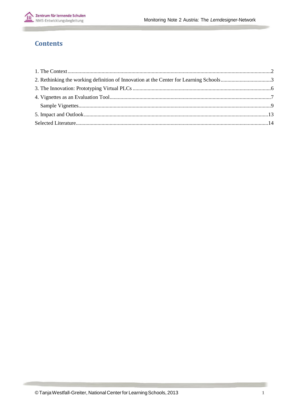

### **Contents**

| 2. Rethinking the working definition of Innovation at the Center for Learning Schools3 |  |
|----------------------------------------------------------------------------------------|--|
|                                                                                        |  |
|                                                                                        |  |
|                                                                                        |  |
|                                                                                        |  |
|                                                                                        |  |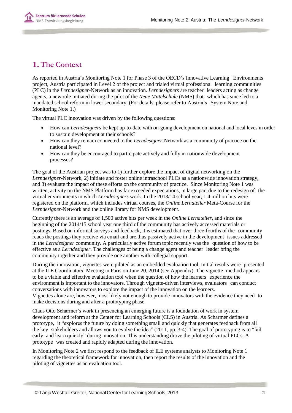

## <span id="page-2-0"></span>**1.The Context**

As reported in Austria's Monitoring Note 1 for Phase 3 of the OECD's Innovative Learning Environments project, Austria participated in Level 2 of the project and trialed virtual professional learning communities (PLC) in the *Lerndesigner*-Network as an innovation. *Lerndesigners* are teacher leaders acting as change agents, a new role initiated during the pilot of the *Neue Mittelschule* (NMS) that which has since led to a mandated school reform in lower secondary. (For details, please refer to Austria's System Note and Monitoring Note 1.)

The virtual PLC innovation was driven by the following questions:

- How can *Lerndesigners* be kept up-to-date with on-going development on national and local leves in order to sustain development at their schools?
- How can they remain connected to the *Lerndesigner*-Network as a community of practice on the national level?
- How can they be encouraged to participate actively and fully in nationwide development processes?

The goal of the Austrian project was to 1) further explore the impact of digital networking on the *Lerndesigner*-Network, 2) initiate and foster online intraschool PLCs as a nationwide innovation strategy, and 3) evaluate the impact of these efforts on the community of practice. Since Monitoring Note 1 was written, activity on the NMS Platform has far exceeded expectations, in large part due to the redesign of the virtual environments in which *Lerndesigners* work. In the 2013/14 school year, 1.4 million hits were registered on the platform, which includes virtual courses, the *Online Lernatelier* Meta-Course for the *Lerndesigner*-Network and the online library for NMS development.

Currently there is an average of 1,500 active hits per week in the *Online Lernatelier*, and since the beginning of the 2014/15 school year one third of the community has actively accessed materials or postings. Based on informal surveys and feedback, it is estimated that over three-fourths of the community reads the postings they receive via email and are thus passively active in the development issues addressed in the *Lerndesigner* community. A particularly active forum topic recently was the question of how to be effective as a *Lerndesigner*. The challenges of being a change agent and teacher leader bring the community together and they provide one another with collegial support.

During the innovation, vignettes were piloted as an embedded evaluation tool. Initial results were presented at the ILE Coordinators' Meeting in Paris on June 20, 2014 (see Appendix). The vignette method appears to be a viable and effective evaluation tool when the question of how the learners experience the environment is important to the innovators. Through vignette-driven interviews, evaluators can conduct conversations with innovators to explore the impact of the innovation on the learners. Vignettes alone are, however, most likely not enough to provide innovators with the evidence they need to make decisions during and after a prototyping phase.

Claus Otto Scharmer's work in presencing an emerging future is a foundation of work in system development and reform at the Center for Learning Schools (CLS) in Austria. As Scharmer defines a prototype, it "explores the future by doing something small and quickly that generates feedback from all the key stakeholders and allows you to evolve the idea" (2011, pp. 3-4). The goal of prototyping is to "fail early and learn quickly" during innovation. This understanding drove the piloting of virtual PLCs. A prototype was created and rapidly adapted during the innovation.

In Monitoring Note 2 we first respond to the feedback of ILE systems analysts to Monitoring Note 1 regarding the theoretical framework for innovation, then report the results of the innovation and the piloting of vignettes as an evaluation tool.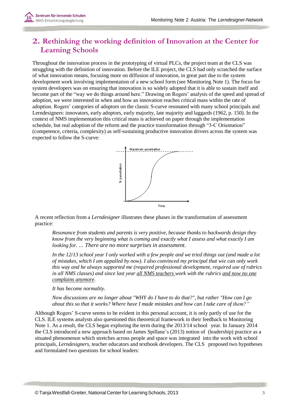

# <span id="page-3-0"></span>**2. Rethinking the working definition of Innovation at the Center for Learning Schools**

Throughout the innovation process in the prototyping of virtual PLCs, the project team at the CLS was struggling with the definition of innovation. Before the ILE project, the CLS had only scratched the surface of what innovation means, focusing more on diffusion of innovation, in great part due to the system development work involving implementation of a new school form (see Monitoring Note 1). The focus for system developers was on ensuring that innovation is so widely adopted that it is able to sustain itself and become part of the "way we do things around here." Drawing on Rogers' analysis of the speed and spread of adoption, we were interested in when and how an innovation reaches critical mass within the rate of adoption. Rogers' categories of adoptors on the classic S-curve resonated with many school principals and Lerndesigners: innovators, early adoptors, early majority, late majority and laggards (1962, p. 150). In the context of NMS implementation this critical mass is achieved on paper through the implementation schedule, but real adoption of the reform and the practice transformation through "3-C Orientation" (competence, criteria, complexity) as self-sustaining productive innovation drivers across the system was expected to follow the S-curve:



A recent reflection from a *Lerndesigner* illustrates these phases in the transformation of assessment practice:

*Resonance from students and parents is very positive, because thanks to backwards design they know from the very beginning what is coming and exactly what I assess and what exactly I am looking for. … There are no more surprises in assessment.*

*In the 12/13 school year I only worked with a few people and we tried things out (and made a lot of mistakes, which I am appalled by now). I also convinced my principal that wie can only work this way and he always supported me (required professional development, required use of rubrics in all NMS classes) and since last year all NMS teachers work with the rubrics and now no one complains anymore.*

*It has become normality.*

*Now discussions are no longer about "WHY do I have to do that?", but rather "How can I go about this so that it works? Where have I made mistakes and how can I take care of them?"*

Although Rogers' S-curve seems to be evident in this personal account, it is only partly of use for the CLS. ILE systems analysts also questioned this theoretical framework in their feedback to Monitoring Note 1. As a result, the CLS began exploring the term during the 2013/14 school year. In January 2014 the CLS introduced a new approach based on James Spillane's (2013) notion of (leadership) practice as a situated phenomenon which stretches across people and space was integrated into the work with school principals, *Lerndesigners,* teacher educators and textbook developers. The CLS proposed two hypotheses and formulated two questions for school leaders: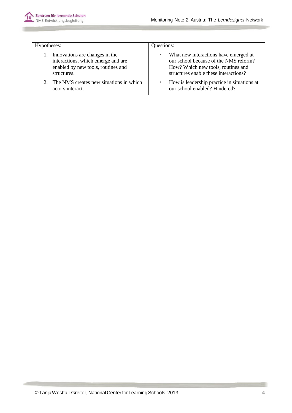

| Hypotheses:                                | Questions:                                  |  |
|--------------------------------------------|---------------------------------------------|--|
| 1. Innovations are changes in the          | What new interactions have emerged at       |  |
| interactions, which emerge and are         | our school because of the NMS reform?       |  |
| enabled by new tools, routines and         | How? Which new tools, routines and          |  |
| structures.                                | structures enable these interactions?       |  |
| 2. The NMS creates new situations in which | How is leadership practice in situations at |  |
| actors interact.                           | our school enabled? Hindered?               |  |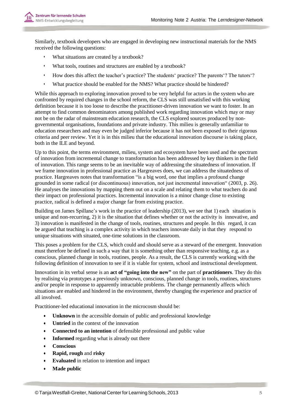

Similarly, textbook developers who are engaged in developing new instructional materials for the NMS received the following questions:

- What situations are created by a textbook?
- What tools, routines and structures are enabled by a textbook?
- How does this affect the teacher's practice? The students' practice? The parents'? The tutors'?
- What practice should be enabled for the NMS? What practice should be hindered?

While this approach to exploring innovation proved to be very helpful for actors in the system who are confronted by required changes in the school reform, the CLS was still unsatisfied with this working definition because it is too loose to describe the practitioner-driven innovation we want to foster. In an attempt to find common denominators among published work regarding innovation which may or may not be on the radar of mainstream education research, the CLS explored sources produced by nongovernmental organisations, foundations and private industry. This milieu is generally unfamiliar to education researchers and may even be judged inferior because it has not been exposed to their rigorous criteria and peer review. Yet it is in this milieu that the educational innovation discourse is taking place, both in the ILE and beyond.

Up to this point, the terms environment, milieu, system and ecosystem have been used and the spectrum of innovation from incremental change to transformation has been addressed by key thinkers in the field of innovation. This range seems to be an inevitable way of addressing the situatedness of innovation. If we frame innovation in professional practice as Hargreaves does, we can address the situatedness of practice. Hargreaves notes that transformation "is a big word, one that implies a profound change grounded in some radical (or discontinuous) innovation, not just incremental innovation" (2003, p. 26). He analyses the innovations by mapping them out on a scale and relating them to what teachers do and their impact on professional practices. Incremental innovation is a minor change close to existing practice, radical is defined a major change far from existing practice.

Building on James Spillane's work in the practice of leadership (2013), we see that 1) each situation is unique and non-recurring, 2) it is the situation that defines whether or not the activity is innovative, and 3) innovation is manifested in the change of tools, routines, structures and people. In this regard, it can be argued that teaching is a complex activity in which teachers innovate daily in that they respond to unique situations with situated, one-time solutions in the classroom.

This poses a problem for the CLS, which could and should serve as a steward of the emergent. Innovation must therefore be defined in such a way that it is something other than responsive teaching, e.g. as a conscious, planned change in tools, routines, people. As a result, the CLS is currently working with the following definition of innovation to see if it is viable for system, school and instructional development.

Innovation in its verbal sense is an **act of "going into the new"** on the part of **practitioners**. They do this by realising via prototypes a previously unknown, conscious, planned change in tools, routines, structures and/or people in response to apparently intractable problems. The change permanently affects which situations are enabled and hindered in the environment, thereby changing the experience and practice of all involved.

Practitioner-led educational innovation in the microcosm should be:

- **Unknown** in the accessible domain of public and professional knowledge
- **Untried** in the context of the innovation
- **Connected to an intention** of defensible professional and public value
- **Informed** regarding what is already out there
- **Conscious**
- **Rapid, rough** and **risky**
- **Evaluated** in relation to intention and impact
- **Made public**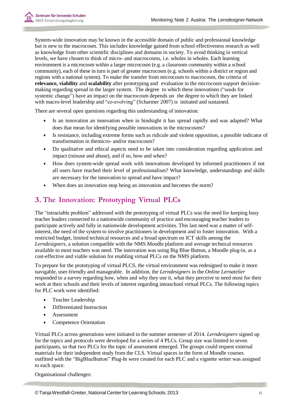System-wide innovation may be known in the accessible domain of public and professional knowledge but is new to the macrocosm. This includes knowledge gained from school effectiveness research as well as knowledge from other scientific disciplines and domains in society. To avoid thinking in vertical levels, we have chosen to think of micro- and macrocosms, i.e. wholes in wholes. Each learning environment is a microcosm within a larger microcosm (e.g. a classroom community within a school community), each of these in turn is part of greater macrocosm (e.g. schools within a district or region and regions with a national system). To make the transfer from microcosm to macrocosm, the criteria of **relevance, viability** and **scalability** after prototyping and evaluation in the microcosm support decisionmaking regarding spread in the larger system. The degree to which these innovations ("seeds for systemic change") have an impact on the macrocosm depends on the degree to which they are linked with macro-level leadership and "co-evolving" (Scharmer 2007) is initiated and sustained.

There are several open questions regarding this understanding of innovation:

- Is an innovation an innovation when in hindsight it has spread rapidly and was adapted? What does that mean for identifying possible innovations in the microcosms?
- Is resistance, including extreme forms such as ridicule and violent opposition, a possible indicator of transformation in themicro- and/or macrocosm?
- Do qualitative and ethical aspects need to be taken into consideration regarding application and impact (misuse and abuse), and if so, how and when?
- How does system-wide spread work with innovations developed by informed practitioners if not all users have reached their level of professionalism? What knowledge, understandings and skills are necessary for the innovation to spread and have impact?
- When does an innovation stop being an innovation and becomes the norm?

# <span id="page-6-0"></span>**3. The Innovation: Prototyping Virtual PLCs**

The "intractable problem" addressed with the prototyping of virtual PLCs was the need for keeping busy teacher leaders connected to a nationwide community of practice and encouraging teacher leaders to participate actively and fully in nationwide development activities. This last need was a matter of selfinterest, the need of the system to involve practitioners in development and to foster innovation. With a restricted budget, limited technical resources and a broad spectrum on ICT skills among the *Lerndesigners*, a solution compatible with the NMS Moodle platform and average technical resources available to most teachers was need. The innovation was using Big Blue Button, a Moodle plug-in, as a cost-effective and viable solution for enabling virtual PLCs on the NMS platform.

To prepare for the prototyping of virtual PLCS, the virtual environment was redesigned to make it more navigable, user-friendly and manageable. In addition, the *Lerndesigners* in the *Online Lernatelier* responded to a survey regarding how, when and why they use it, what they perceive to need most for their work at their schools and their levels of interest regarding intraschool virtual PLCs. The following topics for PLC work were identified:

- Teacher Leadership
- Differentiated Instruction
- Assessment
- Competence Orientation

Virtual PLCs across generations were initiated in the summer semester of 2014. *Lerndesigners* signed up for the topics and protocols were developed for a series of 4 PLCs. Group size was limited to seven participants, so that two PLCs for the topic of assessment emerged. The groups could request external materials for their independent study from the CLS. Virtual spaces in the form of Moodle courses outfitted with the "BigBlueButton" Plug-In were created for each PLC and a vignette writer was assigned to each space.

Organisational challenges: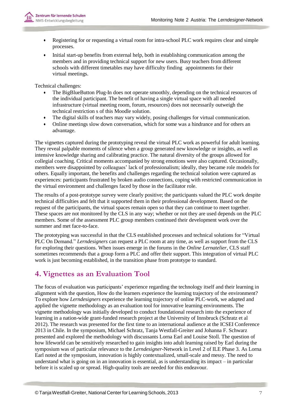

- Registering for or requesting a virtual room for intra-school PLC work requires clear and simple processes.
- Initial start-up benefits from external help, both in establishing communication among the members and in providing technical support for new users. Busy teachers from different schools with different timetables may have difficulty finding appointments for their virtual meetings.

Technical challenges:

- The BigBlueButton Plug-In does not operate smoothly, depending on the technical resources of the individual participant. The benefit of having a single virtual space with all needed infrastructure (virtual meeting room, forum, resources) does not necessarily outweigh the technical restriction s of this Moodle solution.
- The digital skills of teachers may vary widely, posing challenges for virtual communication.
- Online meetings slow down conversation, which for some was a hindrance and for others an advantage.

The vignettes captured during the prototyping reveal the virtual PLC work as powerful for adult learning. They reveal palpable moments of silence when a group generated new knowledge or insights, as well as intensive knowledge sharing and calibrating practice. The natural diversity of the groups allowed for collegial coaching. Critical moments accompanied by strong emotions were also captured. Occasionally, members were disappointed by colleagues' lack of professionalism; ideally, they became role models for others. Equally important, the benefits and challenges regarding the technical solution were captured as experiences: participants frustrated by broken audio connections, coping with restricted communication in the virtual environment and challenges faced by those in the facilitator role.

The results of a post-prototype survey were clearly positive; the participants valued the PLC work despite technical difficulties and felt that it supported them in their professional development. Based on the request of the participants, the virtual spaces remain open so that they can continue to meet together. These spaces are not monitored by the CLS in any way; whether or not they are used depends on the PLC members. Some of the assessment PLC group members continued their development work over the summer and met face-to-face.

The prototyping was successful in that the CLS established processes and technical solutions for "Virtual PLC On Demand." *Lerndesigners* can request a PLC room at any time, as well as support from the CLS for exploring their questions. When issues emerge in the forums in the *Online Lernatelier*, CLS staff sometimes recommends that a group form a PLC and offer their support. This integration of virtual PLC work is just becoming established, in the transition phase from prototype to standard.

# <span id="page-7-0"></span>**4. Vignettes as an Evaluation Tool**

The focus of evaluation was participants' experience regarding the technology itself and their learning in alignment with the question, How do the learners experience the learning trajectory of the environment? To explore how *Lerndesigners* experience the learning trajectory of online PLC-work, we adapted and applied the vignette methodology as an evaluation tool for innovative learning environments. The vignette methodology was initially developed to conduct foundational research into the experience of learning in a nation-wide grant-funded research project at the University of Innsbruck (Schratz et al 2012). The research was presented for the first time to an international audience at the ICSEI Conference 2013 in Chile. In the symposium, Michael Schratz, Tanja Westfall-Greiter and Johanna F. Schwarz presented and explored the methodology with discussants Lorna Earl and Louise Stoll. The question of how lifeworld can be sensitively researched to gain insights into adult learning raised by Earl during the symposium was of particular relevance to the *Lerndesigner*-Network in Level 2 of ILE Phase 3. As Lorna Earl noted at the symposium, innovation is highly contextualized, small-scale and messy. The need to understand what is going on in an innovation is essential, as is understanding its impact – in particular before it is scaled up or spread. High-quality tools are needed for this endeavour.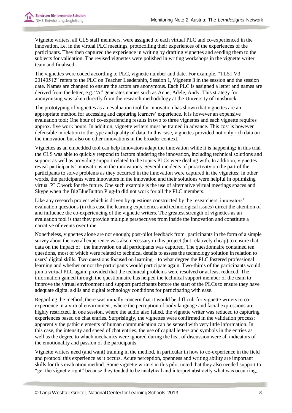Vignette writers, all CLS staff members, were assigned to each virtual PLC and co-experienced in the innovation, i.e. in the virtual PLC meetings, protocolling their experiences of the experiences of the participants. They then captured the experience in writing by drafting vignettes and sending them to the subjects for validation. The revised vignettes were polished in writing workshops in the vignette writer team and finalised.

The vignettes were coded according to PLC, vignette number and date. For example, "TLS1 V3 20140512" refers to the PLC on Teacher Leadership, Session 1, Vignette 3 in the session and the session date. Names are changed to ensure the actors are anonymous. Each PLC is assigned a letter and names are derived from the letter, e.g. "A" generates names such as Anne, Adele, Andy. This strategy for anonymising was taken directly from the research methodology at the University of Innsbruck.

The prototyping of vignettes as an evaluation tool for innovation has shown that vignettes are an appropriate method for accessing and capturing learners' experience. It is however an expensive evaluation tool; One hour of co-experiencing results in two to three vignettes and each vignette requires approx. five work hours. In addition, vignette writers must be trained in advance. This cost is however defensible in relation to the type and quality of data. In this case, vignettes provided not only rich data on the innovation but also on other innovations in the broader context.

Vignettes as an embedded tool can help innovators adapt the innovation while it is happening; in this trial the CLS was able to quickly respond to factors hindering the innovation, including technical solutions and support as well as providing support related to the topics PLCs were dealing with. In addition, vignettes reveal participants' innovations in the innovations. Several incidents of proactivity on the part of the participants to solve problems as they occurred in the innovation were captured in the vignettes; in other words, the participants were innovators in the innovation and their solutions were helpful in optimizing virtual PLC work for the future. One such example is the use of alternative virtual meetings spaces and Skype when the BigBlueButton Plug-In did not work for all the PLC members.

Like any research project which is driven by questions constructed by the researchers, innovators' evaluation questions (in this case the learning experiences and technological issues) direct the attention of and influence the co-experiencing of the vignette writers. The greatest strength of vignettes as an evaluation tool is that they provide multiple perspectives from inside the innovation and constitute a narrative of events over time.

Nonetheless, vignettes alone are not enough; post-pilot feedback from participants in the form of a simple survey about the overall experience was also necessary in this project (but relatively cheap) to ensure that data on the impact of the innovation on all participants was captured. The questionnaire contained ten questions, most of which were related to technical details to assess the technology solution in relation to users' digital skills. Two questions focused on learning – to what degree the PLC fostered professional learning and whether or not the participants would participate again. Two-thirds of the participants would join a virtual PLC again, provided that the technical problems were resolved or at least reduced. The information gained through the questionnaire has helped the technical support member of the team to improve the virtual environment and support participants before the start of the PLCs to ensure they have adequate digital skills and digital technology conditions for participating with ease.

Regarding the method, there was initially concern that it would be difficult for vignette writers to coexperience in a virtual environment, where the perception of body language and facial expressions are highly restricted. In one session, where the audio also failed, the vignette writer was reduced to capturing experiences based on chat entries. Surprisingly, the vignettes were confirmed in the validation process; apparently the pathic elements of human communication can be sensed with very little information. In this case, the intensity and speed of chat entries, the use of capital letters and symbols in the entries as well as the degree to which mechanics were ignored during the heat of discussion were all indicators of the emotionality and passion of the participants.

Vignette writers need (and want) training in the method, in particular in how to co-experience in the field and protocol this experience as it occurs. Acute perception, openness and writing ability are important skills for this evaluation method. Some vignette writers in this pilot noted that they also needed support to "get the vignette right" because they tended to be analytical and interpret abstractly what was occurring,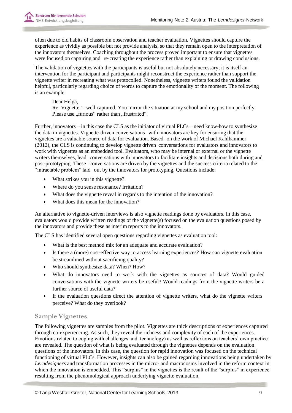often due to old habits of classroom observation and teacher evaluation. Vignettes should capture the experience as vividly as possible but not provide analysis, so that they remain open to the interpretation of the innovators themselves. Coaching throughout the process proved important to ensure that vignettes were focused on capturing and re-creating the experience rather than explaining or drawing conclusions.

The validation of vignettes with the participants is useful but not absolutely necessary; it is itself an intervention for the participant and participants might reconstruct the experience rather than support the vignette writer in recreating what was protocolled. Nonetheless, vignette writers found the validation helpful, particularly regarding choice of words to capture the emotionality of the moment. The following is an example:

#### Dear Helga,

Re: Vignette 1: well captured. You mirror the situation at my school and my position perfectly. Please use "furious" rather than "frustrated".

Further, innovators – in this case the CLS as the initiator of virtual PLCs – need know-how to synthesize the data in vignettes. Vignette-driven conversations with innovators are key for ensuring that the vignettes are a valuable source of data for evaluation. Based on the work of Michael Kahlhammer (2012), the CLS is continuing to develop vignette driven conversations for evaluators and innovators to work with vignettes as an embedded tool. Evaluators, who may be internal or external or the vignette writers themselves, lead conversations with innovators to facilitate insights and decisions both during and post-prototyping. These conversations are driven by the vignettes and the success criteria related to the "intractable problem" laid out by the innovators for prototyping. Questions include:

- What strikes you in this vignette?
- Where do you sense resonance? Irritation?
- What does the vignette reveal in regards to the intention of the innovation?
- What does this mean for the innovation?

An alternative to vignette-driven interviews is also vignette readings done by evaluators. In this case, evaluators would provide written readings of the vignette(s) focused on the evaluation questions posed by the innovators and provide these as interim reports to the innovators.

The CLS has identified several open questions regarding vignettes as evaluation tool:

- What is the best method mix for an adequate and accurate evaluation?
- Is there a (more) cost-effective way to access learning experiences? How can vignette evaluation be streamlined without sacrificing quality?
- Who should synthesize data? When? How?
- What do innovators need to work with the vignettes as sources of data? Would guided conversations with the vignette writers be useful? Would readings from the vignette writers be a further source of useful data?
- If the evaluation questions direct the attention of vignette writers, what do the vignette writers perceive? What do they overlook?

#### <span id="page-9-0"></span>**Sample Vignettes**

The following vignettes are samples from the pilot. Vignettes are thick descriptions of experiences captured through co-experiencing. As such, they reveal the richness and complexity of each of the experiences. Emotions related to coping with challenges and technology) as well as reflexions on teachers' own practice are revealed. The question of what is being evaluated through the vignettes depends on the evaluation questions of the innovators. In this case, the question for rapid innovation was focused on the technical functioning of virtual PLCs. However, insights can also be gained regarding innovations being undertaken by *Lerndesigners* and transformation processes in the micro- and macrocosms involved in the reform context in which the innovation is embedded. This "surplus" in the vignettes is the result of the "surplus" in experience resulting from the phenomological approach underlying vignette evaluation.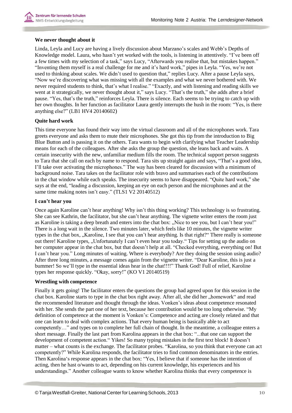

#### **We never thought about it**

Linda, Leyla and Lucy are having a lively discussion about Marzano's scales and Webb's Depths of Knowledge model. Laura, who hasn't yet worked with the tools, is listening in attentively. "I've been off a few times with my selection of a task," says Lucy, "Afterwards you realise that, but mistakes happen." "Inventing them myself is a real challenge for me and it's hard work," pipes in Leyla. "Yes, we're not used to thinking about scales. We didn't used to question that," replies Lucy. After a pause Leyla says, "Now we're discovering what was missing with all the examples and what we never bothered with. We never required students to think, that's what I realise." "Exactly, and with listening and reading skills we went at it strategically, we never thought about it," says Lucy. "That's the truth," she adds after a brief pause. "Yes, that's the truth," reinforces Leyla. There is silence. Each seems to be trying to catch up with her own thoughts. In her function as facilitator Laura gently interrupts the hush in the room: "Yes, is there anything else?" (LB1 HV4 20140602)

#### **Quite hard work**

This time everyone has found their way into the virtual classroom and all of the microphones work. Tara greets everyone and asks them to mute their microphones. She got this tip from the introduction to Big Blue Button and is passing it on the others. Tara wants to begin with clarifying what Teacher Leadership means for each of the colleagues. After she asks the group the question, she leans back and waits. A certain insecurity with the new, unfamiliar medium fills the room. The technical support person suggests to Tara that she call on each by name to respond. Tara sits up straight again and says, "That's a good idea, I'll take over activating the microphones." The way has been cleared for discussion with a minimum of background noise. Tara takes on the facilitator role with bravo and summarises each of the contributions in the chat window while each speaks. The insecurity seems to have disappeared. "Quite hard work," she says at the end, "leading a discussion, keeping an eye on each person and the microphones and at the same time making notes isn't easy." (TLS1 V2 20140512)

#### **I can't hear you**

Once again Karoline can't hear anything! Why isn't this thing working? This technology is so frustrating. She can see Kathrin, the facilitator, but she can't hear anything. The vignette writer enters the room just as Karoline is taking a deep breath and enters into the chat box: "Nice to see you, but I can't hear you!" There is a long wait in the silence. Two minutes later, which feels like 10 minutes, the vignette writer types in the chat box, "Karoline, I see that you can't hear anything. Is that right?" There really is someone out there! Karoline types, "Unfortunately I can't even hear you today." Tips for setting up the audio on her computer appear in the chat box, but that doesn't help at all. "Checked everything, everything on! But I can't hear you." Long minutes of waiting. Where is everybody? Are they doing the session using audio? After three long minutes, a message comes again from the vignette writer. "Dear Karoline, this is just a bummer! So we'll type in the essential ideas hear in the chat!!!!" Thank God! Full of relief, Karoline types her response quickly. "Okay, sorry!" (KO V1 20140519)

#### **Wrestling with competence**

Finally it gets going! The facilitator enters the questions the group had agreed upon for this session in the chat box. Karoline starts to type in the chat box right away. After all, she did her "homework" and read the recommended literature and thought through the ideas. Vonken's ideas about competence resonated with her. She sends the part one of her text, because her contribution would be too long otherwise. "My definition of competence at the moment is Vonken's: Competence and acting are closely related and that one can learn to deal with complex actions. That every human being is basically able to act competently…" and types on to complete her full chain of thought. In the meantime, a colleague enters a short message. Finally the last part from Karolina appears in the chat box: "...that one can support the development of competent action." Yikes! So many typing mistakes in the first text block! It doesn't matter – what counts is the exchange. The facilitator probes. "Karolina, so you think that everyone can act competently?" While Karolina responds, the facilitator tries to find common denominators in the entries. Then Karolina's response appears in the chat box: "Yes, I believe that if someone has the intention of acting, then he hast o/wants to act, depending on his current knowledge, his experiences and his understandings." Another colleague wants to know whether Karolina thinks that every competence is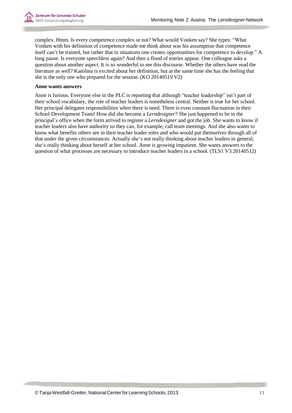complex. Hmm. Is every competence complex or not? What would Vonken say? She types: "What Vonken with his definition of competence made me think about was his assumption that competence itself can't be trained, but rather that in situations one creates opportunities for competence to develop." A long pause. Is everyone speechless again? And then a flood of entries appear. One colleague asks a question about another aspect. It is so wonderful to see this discourse. Whether the others have read the literature as well? Karolina is excited about her definition, but at the same time she has the feeling that she is the only one who prepared for the session. (KO 20140519 V2)

#### **Anne wants answers**

Anne is furious. Everyone else in the PLC is reporting that although "teacher leadership" isn't part of their school vocabulary, the role of teacher leaders is nonetheless central. Neither is true for her school. Her principal delegates responsibilities when there is need. There is even constant fluctuation in their School Development Team! How did she become a *Lerndesigner*? She just happened to be in the principal's office when the form arrived to register a *Lerndesigner* and got the job. She wants to know if teacher leaders also have authority so they can, for example, call team meetings. And she also wants to know what benefits others see in their teacher leader roles and who would put themselves through all of that under the given circumstances. Actually she's not really thinking about teacher leaders in general; she's really thinking about herself at her school. Anne is growing impatient. She wants answers to the question of what processes are necessary to introduce teacher leaders in a school. (TLS1 V3 20140512)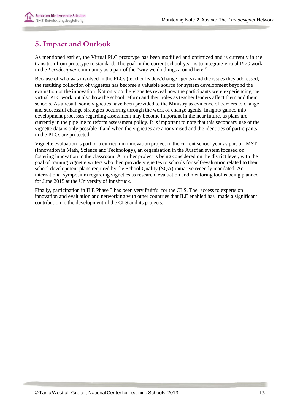# <span id="page-12-0"></span>**5.Impact and Outlook**

As mentioned earlier, the Virtual PLC prototype has been modified and optimized and is currently in the transition from prototype to standard. The goal in the current school year is to integrate virtual PLC work in the *Lerndesigner* community as a part of the "way we do things around here."

Because of who was involved in the PLCs (teacher leaders/change agents) and the issues they addressed, the resulting collection of vignettes has become a valuable source for system development beyond the evaluation of the innovation. Not only do the vignettes reveal how the participants were experiencing the virtual PLC work but also how the school reform and their roles as teacher leaders affect them and their schools. As a result, some vignettes have been provided to the Ministry as evidence of barriers to change and successful change strategies occurring through the work of change agents. Insights gained into development processes regarding assessment may become important in the near future, as plans are currently in the pipeline to reform assessment policy. It is important to note that this secondary use of the vignette data is only possible if and when the vignettes are anonymised and the identities of participants in the PLCs are protected.

Vignette evaluation is part of a curriculum innovation project in the current school year as part of IMST (Innovation in Math, Science and Technology), an organisation in the Austrian system focused on fostering innovation in the classroom. A further project is being considered on the district level, with the goal of training vignette writers who then provide vignettes to schools for self-evaluation related to their school development plans required by the School Quality (SQA) initiative recently mandated. An international symposium regarding vignettes as research, evaluation and mentoring tool is being planned for June 2015 at the University of Innsbruck.

Finally, participation in ILE Phase 3 has been very fruitful for the CLS. The access to experts on innovation and evaluation and networking with other countries that ILE enabled has made a significant contribution to the development of the CLS and its projects.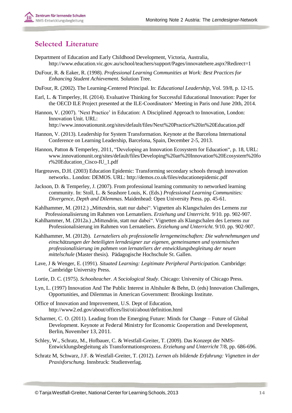# <span id="page-13-0"></span>**Selected Literature**

- Department of Education and Early Childhood Development, Victoria, Australia[,](http://www.education.vic.gov.au/school/teachers/support/Pages/innovatehere.aspx?Redirect=1) <http://www.education.vic.gov.au/school/teachers/support/Pages/innovatehere.aspx?Redirect=1>
- DuFour, R. & Eaker, R. (1998). *Professional Learning Communities at Work: Best Practices for Enhancing Student Achievement.* Solution Tree.
- DuFour, R. (2002). The Learning-Centered Principal. In: *Educational Leadership*, Vol. 59/8, p. 12-15.
- Earl, L. & Timperley, H. (2014). Evaluative Thinking for Successful Educational Innovation: Paper for the OECD ILE Project presented at the ILE-Coordinators' Meeting in Paris ond June 20th, 2014.
- Hannon, V. (2007). 'Next Practice' in Education: A Disciplined Approach to Innovation, London: Innovation Unit. URL[:](http://www.innovationunit.org/sites/default/files/Next%20Practice%20in%20Education.pdf) <http://www.innovationunit.org/sites/default/files/Next%20Practice%20in%20Education.pdf>
- Hannon, V. (2013). Leadership for System Transformation. Keynote at the Barcelona International Conference on Learning Leadership, Barcelona, Spain, December 2-5, 2013.
- Hannon, Patton & Temperley, 2011, "Developing an Innovation Ecosystem for Education", p. 18, URL[:](http://www.innovationunit.org/sites/default/files/Developing%20an%20Innovation%20Ecosystem%20fo) [www.innovationunit.org/sites/default/files/Developing%20an%20Innovation%20Ecosystem%20fo](http://www.innovationunit.org/sites/default/files/Developing%20an%20Innovation%20Ecosystem%20fo) r%20Education\_Cisco-IU\_1.pdf
- Hargreaves, D.H. (2003) Education Epidemic: Transforming secondary schools through innovation networks.. London: DEMOS. URL: <http://demos.co.uk/files/educationepidemic.pdf>
- Jackson, D. & Temperley, J. (2007). From professional learning community to networked learning community. In: Stoll, L. & Seashore Louis, K. (Eds.) *Professional Learning Communities: Divergence, Depth and Dilemmas*. Maidenhead: Open University Press. pp. 45-61.
- Kahlhammer, M. (2012.) "Mittendrin, statt nur dabei". Vignetten als Klangschalen des Lernens zur Professionalisierung im Rahmen von Lernateliers. *Erziehung und Unterricht*. 9/10. pp. 902-907.
- Kahlhammer, M. (2012a.) "Mittendrin, statt nur dabei". Vignetten als Klangschalen des Lernens zur Professionalisierung im Rahmen von Lernateliers. *Erziehung und Unterricht*. 9/10. pp. 902-907.
- Kahlhammer, M. (2012b). *Lernateliers als professionelle lerngemeinschaften: Die wahrnehmungen und einschätzungen der beteiligten lerndesigner zur eigenen, gemeinsamen und systemischen professionalisierung im pahmen von lernateliers der entwicklungsbegleitung der neuen mittelschule* (Master thesis). Pädagogische Hochschule St. Gallen.
- Lave, J & Wenger, E. (1991). *Situated Learning: Legitimate Peripheral Participation.* Cambridge: Cambridge University Press.
- Lortie, D. C. (1975). *Schoolteacher. A Sociological Study*. Chicago: University of Chicago Press.
- Lyn, L. (1997) Innovation And The Public Interest in Altshuler & Behn, D. (eds) Innovation Challenges, Opportunities, and Dilemmas in American Government: Brookings Institute.
- Office of Innovation and Improvement, U.S. Dept of Educatio[n,](http://www2.ed.gov/about/offices/list/oii/about/definition.html) <http://www2.ed.gov/about/offices/list/oii/about/definition.html>
- Scharmer, C. O. (2011). Leading from the Emerging Future: Minds for Change Future of Global Development. Keynote at Federal Ministry for Economic Cooperation and Development, Berlin, November 13, 2011.
- Schley, W., Schratz, M., Hofbauer, C. & Westfall-Greiter, T. (2009). Das Konzept der NMS-Entwicklungsbegleitung als Transformationsprozess. *Erziehung und Unterricht* 7/8, pp. 686-696.
- Schratz M, Schwarz, J.F. & Westfall-Greiter, T. (2012). *Lernen als bildende Erfahrung: Vignetten in der Praxisforschung*. Innsbruck: Studienverlag.